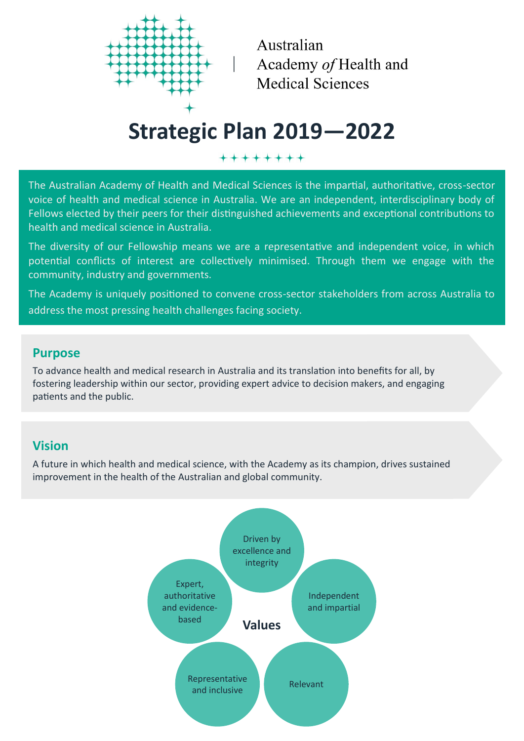

Australian Academy of Health and **Medical Sciences** 

# **Strategic Plan 2019—2022**

++++++++

The Australian Academy of Health and Medical Sciences is the impartial, authoritative, cross-sector voice of health and medical science in Australia. We are an independent, interdisciplinary body of Fellows elected by their peers for their distinguished achievements and exceptional contributions to health and medical science in Australia.

The diversity of our Fellowship means we are a representative and independent voice, in which potential conflicts of interest are collectively minimised. Through them we engage with the community, industry and governments.

The Academy is uniquely positioned to convene cross-sector stakeholders from across Australia to address the most pressing health challenges facing society.

## **Purpose**

To advance health and medical research in Australia and its translation into benefits for all, by fostering leadership within our sector, providing expert advice to decision makers, and engaging patients and the public.

# **Vision**

A future in which health and medical science, with the Academy as its champion, drives sustained improvement in the health of the Australian and global community.